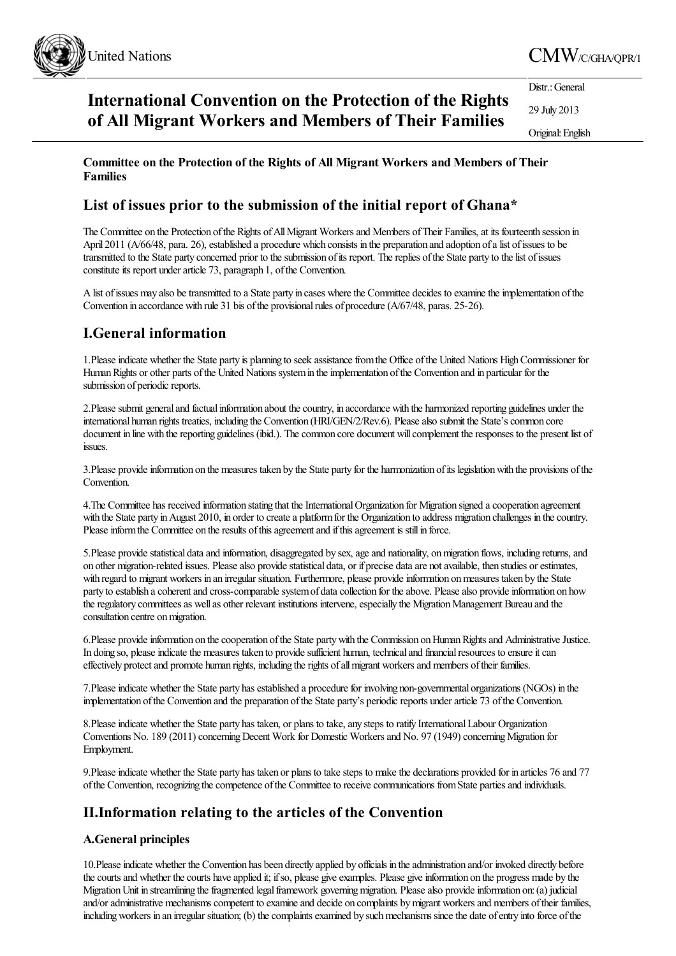

# **International Convention on the Protection of the Rights of All Migrant Workers and Members of Their Families**

Distr.: General

29 July 2013 Original:English

# **Committee on the Protection of the Rights of All Migrant Workers and Members of Their Families**

# **List of issues prior to the submission of the initial report of Ghana\***

The Committee on the Protection of the Rights of All Migrant Workers and Members of Their Families, at its fourteenth session in April 2011 (A/66/48, para. 26), established a procedure which consists in the preparation and adoption of a list of issues to be transmitted to the State party concerned prior to thesubmission ofits report. Thereplies ofthe State party to thelist ofissues constitute its report under article 73, paragraph 1, of the Convention.

A list of issues may also be transmitted to a State party in cases where the Committee decides to examine the implementation of the Convention in accordance with rule 31 bis of the provisional rules of procedure (A/67/48, paras. 25-26).

# **I.General information**

1. Please indicate whether the State party is planning to seek assistance from the Office of the United Nations High Commissioner for Human Rights or other parts of the United Nations system in the implementation of the Convention and in particular for the submission of periodic reports.

2. Please submit general and factual information about the country, in accordance with the harmonized reporting guidelines under the international human rights treaties, including the Convention (HRI/GEN/2/Rev.6). Please also submit the State's common core document in line with the reporting guidelines (ibid.). The common core document will complement the responses to the present list of issues.

3.Please provideinformation on the measures taken by the State party for the harmonization ofits legislationwith the provisions ofthe Convention.

4. The Committee has received information stating that the International Organization for Migration signed a cooperation agreement with the State party in August 2010, in order to create a platform for the Organization to address migration challenges in the country. Please inform the Committee on the results of this agreement and if this agreement is still in force.

5. Please provide statistical data and information, disaggregated by sex, age and nationality, on migration flows, including returns, and on other migration-related issues. Please also provide statistical data, or if precise data are not available, then studies or estimates, with regard to migrant workers in an irregular situation. Furthermore, please provide information on measures taken by the State party to establish a coherent and cross-comparable system of data collection for the above. Please also provide information on how the regulatory committees as well as other relevant institutions intervene, especially the Migration Management Bureau and the consultation centre on migration.

6. Please provide information on the cooperation of the State party with the Commission on Human Rights and Administrative Justice. In doing so, please indicate the measures taken to provide sufficient human, technical and financial resources to ensure it can effectively protectand promote human rights, including therights ofallmigrant workersand members oftheir families.

7. Please indicate whether the State party has established a procedure for involving non-governmental organizations (NGOs) in the implementation of the Convention and the preparation of the State party's periodic reports under article 73 of the Convention.

8.Please indicate whether the State party has taken, or plans to take, any steps to ratify International Labour Organization Conventions No. 189 (2011) concerning Decent Work for Domestic Workers and No. 97 (1949) concerning Migration for Employment.

9. Please indicate whether the State party has taken or plans to take steps to make the declarations provided for in articles 76 and 77 ofthe Convention, recognizing thecompetence ofthe Committeeto receivecommunications fromState partiesand individuals.

# **II.Information relating to the articles of the Convention**

# **A.General principles**

10. Please indicate whether the Convention has been directly applied by officials in the administration and/or invoked directly before the courts and whether the courts have applied it; if so, please give examples. Please give information on the progress made by the Migration Unit in streamlining the fragmented legal framework governing migration. Please also provide information on: (a) judicial and/or administrative mechanisms competent to examine and decide on complaints by migrant workers and members of their families, including workers in an irregular situation; (b) the complaints examined by such mechanisms since the date of entry into force of the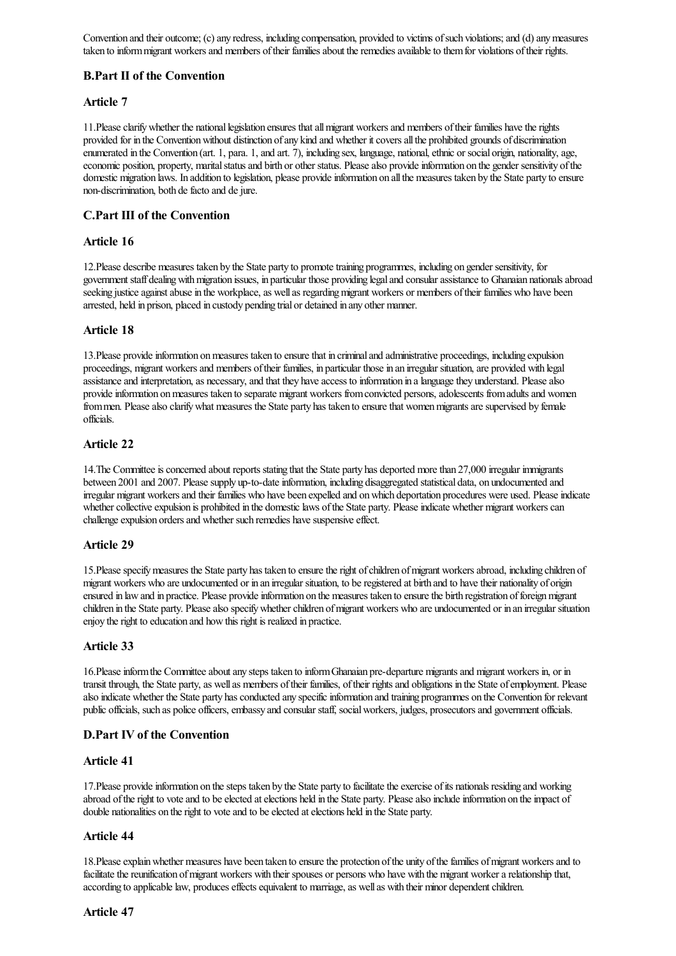Convention and their outcome; (c) any redress, including compensation, provided to victims of such violations; and (d) any measures taken to inform migrant workers and members of their families about the remedies available to them for violations of their rights.

# **B.Part II of the Convention**

# **Article 7**

11. Please clarify whether the national legislation ensures that all migrant workers and members of their families have the rights provided for in the Convention without distinction of any kind and whether it covers all the prohibited grounds of discrimination enumerated in the Convention (art. 1, para. 1, and art. 7), including sex, language, national, ethnic or social origin, nationality, age, economic position, property, marital status and birth or other status. Please also provide information on the gender sensitivity of the domestic migration laws. In addition to legislation, please provide information on all the measures taken by the State party to ensure non-discrimination, both de facto and de jure.

# **C.Part III of the Convention**

#### **Article 16**

12.Please describe measures taken by the State party to promotetraining programmes, including on gender sensitivity, for government staff dealing with migration issues, in particular those providing legal and consular assistance to Ghanaian nationals abroad seeking justice against abuse in the workplace, as well as regarding migrant workers or members of their families who have been arrested, held in prison, placed in custody pending trial or detained in any other manner.

# **Article 18**

13.Please provideinformation onmeasures taken to ensurethat in criminaland administrative proceedings, including expulsion proceedings, migrant workers and members of their families, in particular those in an irregular situation, are provided with legal assistance and interpretation, as necessary, and that they have access to information in a language they understand. Please also provide information on measures taken to separate migrant workers from convicted persons, adolescents from adults and women from men. Please also clarify what measures the State party has taken to ensure that women migrants are supervised by female officials.

# **Article 22**

14. The Committee is concerned about reports stating that the State party has deported more than 27,000 irregular immigrants between 2001 and 2007. Please supply up-to-date information, including disaggregated statistical data, on undocumented and irregular migrant workers and their families who have been expelled and on which deportation procedures were used. Please indicate whether collective expulsion is prohibited in the domestic laws of the State party. Please indicate whether migrant workers can challenge expulsion orders and whether such remedies have suspensive effect.

#### **Article 29**

15. Please specify measures the State party has taken to ensure the right of children of migrant workers abroad, including children of migrant workers who are undocumented or in an irregular situation, to beregistered at birth and to havetheir nationality of origin ensured in law and in practice. Please provide information on the measures taken to ensure the birth registration of foreign migrant children in the State party. Please also specify whether children of migrant workers who are undocumented or in an irregular situation enjoy the right to education and how this right is realized in practice.

#### **Article 33**

16.Please inform the Committee about any steps taken to inform Ghanaian pre-departure migrants and migrant workers in, or in transit through, the State party, as well as members of their families, of their rights and obligations in the State of employment. Please also indicate whether the State party has conducted any specific information and training programmes on the Convention for relevant public officials, such as police officers, embassy and consular staff, social workers, judges, prosecutors and government officials.

#### **D.Part IV of the Convention**

#### **Article 41**

17. Please provide information on the steps taken by the State party to facilitate the exercise of its nationals residing and working abroad of the right to vote and to be elected at elections held in the State party. Please also include information on the impact of double nationalities on the right to vote and to be elected at elections held in the State party.

# **Article 44**

18. Please explain whether measures have been taken to ensure the protection of the unity of the families of migrant workers and to facilitate the reunification of migrant workers with their spouses or persons who have with the migrant worker a relationship that, according to applicable law, produces effects equivalent to marriage, as well as with their minor dependent children.